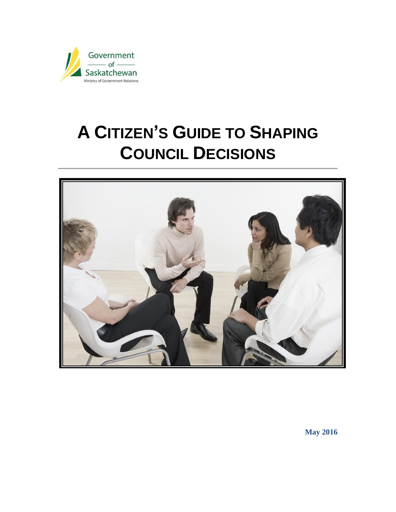

# **A CITIZEN'S GUIDE TO SHAPING COUNCIL DECISIONS**



**May 2016**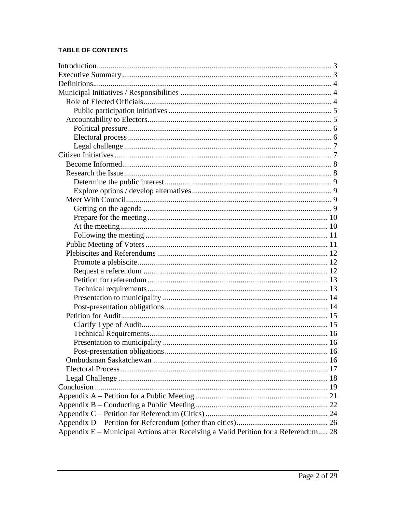# TABLE OF CONTENTS

| Appendix E – Municipal Actions after Receiving a Valid Petition for a Referendum 28 |  |
|-------------------------------------------------------------------------------------|--|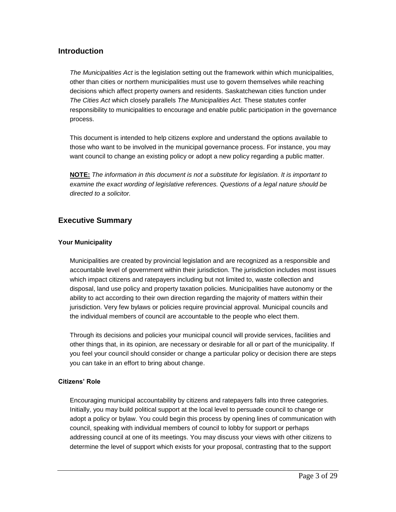# <span id="page-2-0"></span>**Introduction**

*The Municipalities Act* is the legislation setting out the framework within which municipalities, other than cities or northern municipalities must use to govern themselves while reaching decisions which affect property owners and residents. Saskatchewan cities function under *The Cities Act* which closely parallels *The Municipalities Act.* These statutes confer responsibility to municipalities to encourage and enable public participation in the governance process.

This document is intended to help citizens explore and understand the options available to those who want to be involved in the municipal governance process. For instance, you may want council to change an existing policy or adopt a new policy regarding a public matter.

**NOTE:** *The information in this document is not a substitute for legislation. It is important to examine the exact wording of legislative references. Questions of a legal nature should be directed to a solicitor.*

# <span id="page-2-1"></span>**Executive Summary**

# **Your Municipality**

Municipalities are created by provincial legislation and are recognized as a responsible and accountable level of government within their jurisdiction. The jurisdiction includes most issues which impact citizens and ratepayers including but not limited to, waste collection and disposal, land use policy and property taxation policies. Municipalities have autonomy or the ability to act according to their own direction regarding the majority of matters within their jurisdiction. Very few bylaws or policies require provincial approval. Municipal councils and the individual members of council are accountable to the people who elect them.

Through its decisions and policies your municipal council will provide services, facilities and other things that, in its opinion, are necessary or desirable for all or part of the municipality. If you feel your council should consider or change a particular policy or decision there are steps you can take in an effort to bring about change.

## **Citizens' Role**

Encouraging municipal accountability by citizens and ratepayers falls into three categories. Initially, you may build political support at the local level to persuade council to change or adopt a policy or bylaw. You could begin this process by opening lines of communication with council, speaking with individual members of council to lobby for support or perhaps addressing council at one of its meetings. You may discuss your views with other citizens to determine the level of support which exists for your proposal, contrasting that to the support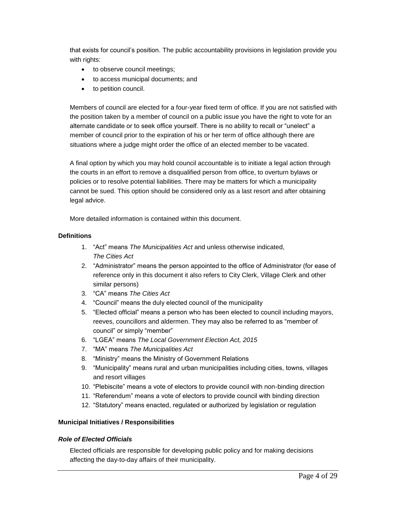that exists for council's position. The public accountability provisions in legislation provide you with rights:

- to observe council meetings;
- to access municipal documents; and
- to petition council.

Members of council are elected for a four-year fixed term of office. If you are not satisfied with the position taken by a member of council on a public issue you have the right to vote for an alternate candidate or to seek office yourself. There is no ability to recall or "unelect" a member of council prior to the expiration of his or her term of office although there are situations where a judge might order the office of an elected member to be vacated.

A final option by which you may hold council accountable is to initiate a legal action through the courts in an effort to remove a disqualified person from office, to overturn bylaws or policies or to resolve potential liabilities. There may be matters for which a municipality cannot be sued. This option should be considered only as a last resort and after obtaining legal advice.

More detailed information is contained within this document.

# <span id="page-3-0"></span>**Definitions**

- 1. "Act" means *The Municipalities Act* and unless otherwise indicated, *The Cities Act*
- 2. "Administrator" means the person appointed to the office of Administrator (for ease of reference only in this document it also refers to City Clerk, Village Clerk and other similar persons)
- 3. "CA" means *The Cities Act*
- 4. "Council" means the duly elected council of the municipality
- 5. "Elected official" means a person who has been elected to council including mayors, reeves, councillors and aldermen. They may also be referred to as "member of council" or simply "member"
- 6. "LGEA" means *The Local Government Election Act, 2015*
- 7. "MA" means *The Municipalities Act*
- 8. "Ministry" means the Ministry of Government Relations
- 9. "Municipality" means rural and urban municipalities including cities, towns, villages and resort villages
- 10. "Plebiscite" means a vote of electors to provide council with non-binding direction
- 11. "Referendum" means a vote of electors to provide council with binding direction
- 12. "Statutory" means enacted, regulated or authorized by legislation or regulation

## <span id="page-3-1"></span>**Municipal Initiatives / Responsibilities**

## <span id="page-3-2"></span>*Role of Elected Officials*

Elected officials are responsible for developing public policy and for making decisions affecting the day-to-day affairs of their municipality.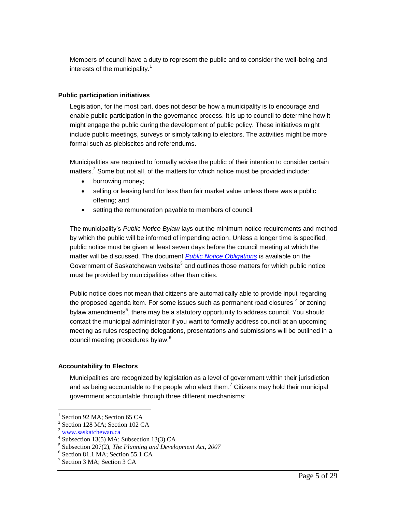Members of council have a duty to represent the public and to consider the well-being and interests of the municipality. $1$ 

# <span id="page-4-0"></span>**Public participation initiatives**

Legislation, for the most part, does not describe how a municipality is to encourage and enable public participation in the governance process. It is up to council to determine how it might engage the public during the development of public policy. These initiatives might include public meetings, surveys or simply talking to electors. The activities might be more formal such as plebiscites and referendums.

Municipalities are required to formally advise the public of their intention to consider certain matters.<sup>2</sup> Some but not all, of the matters for which notice must be provided include:

- borrowing money;
- selling or leasing land for less than fair market value unless there was a public offering; and
- setting the remuneration payable to members of council.

The municipality's *Public Notice Bylaw* lays out the minimum notice requirements and method by which the public will be informed of impending action. Unless a longer time is specified, public notice must be given at least seven days before the council meeting at which the matter will be discussed. The document *[Public Notice Obligations](http://www.saskatchewan.ca/~/media/files/government%20relations/advisory%20services/bylaws/bylaws-municipal/public%20notice%20obligations.doc)* is available on the Government of Saskatchewan website<sup>3</sup> and outlines those matters for which public notice must be provided by municipalities other than cities.

Public notice does not mean that citizens are automatically able to provide input regarding the proposed agenda item. For some issues such as permanent road closures  $^4$  or zoning bylaw amendments<sup>5</sup>, there may be a statutory opportunity to address council. You should contact the municipal administrator if you want to formally address council at an upcoming meeting as rules respecting delegations, presentations and submissions will be outlined in a council meeting procedures bylaw. 6

# <span id="page-4-1"></span>**Accountability to Electors**

Municipalities are recognized by legislation as a level of government within their jurisdiction and as being accountable to the people who elect them.<sup>7</sup> Citizens may hold their municipal government accountable through three different mechanisms:

<sup>1</sup> Section 92 MA; Section 65 CA

<sup>&</sup>lt;sup>2</sup> Section 128 MA; Section 102 CA

[www.saskatchewan.ca](http://www.saskatchewan.ca/)

<sup>4</sup> Subsection 13(5) MA; Subsection 13(3) CA

<sup>5</sup> Subsection 207(2), *The Planning and Development Act, 2007*

<sup>6</sup> Section 81.1 MA; Section 55.1 CA

<sup>&</sup>lt;sup>7</sup> Section 3 MA; Section 3 CA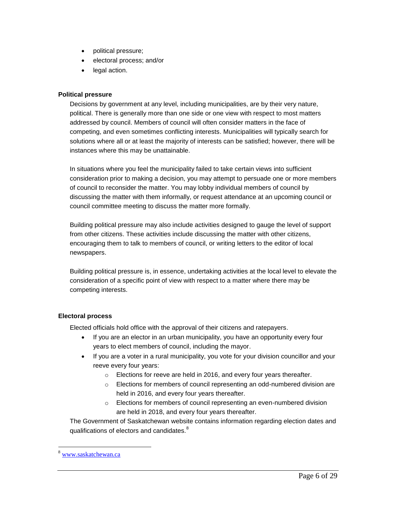- political pressure;
- electoral process; and/or
- legal action.

## <span id="page-5-0"></span>**Political pressure**

Decisions by government at any level, including municipalities, are by their very nature, political. There is generally more than one side or one view with respect to most matters addressed by council. Members of council will often consider matters in the face of competing, and even sometimes conflicting interests. Municipalities will typically search for solutions where all or at least the majority of interests can be satisfied; however, there will be instances where this may be unattainable.

In situations where you feel the municipality failed to take certain views into sufficient consideration prior to making a decision, you may attempt to persuade one or more members of council to reconsider the matter. You may lobby individual members of council by discussing the matter with them informally, or request attendance at an upcoming council or council committee meeting to discuss the matter more formally.

Building political pressure may also include activities designed to gauge the level of support from other citizens. These activities include discussing the matter with other citizens, encouraging them to talk to members of council, or writing letters to the editor of local newspapers.

Building political pressure is, in essence, undertaking activities at the local level to elevate the consideration of a specific point of view with respect to a matter where there may be competing interests.

## <span id="page-5-1"></span>**Electoral process**

Elected officials hold office with the approval of their citizens and ratepayers.

- If you are an elector in an urban municipality, you have an opportunity every four years to elect members of council, including the mayor.
- If you are a voter in a rural municipality, you vote for your division councillor and your reeve every four years:
	- o Elections for reeve are held in 2016, and every four years thereafter.
	- $\circ$  Elections for members of council representing an odd-numbered division are held in 2016, and every four years thereafter.
	- o Elections for members of council representing an even-numbered division are held in 2018, and every four years thereafter.

The Government of Saskatchewan website contains information regarding election dates and qualifications of electors and candidates.<sup>8</sup>

<sup>8</sup> [www.saskatchewan.ca](http://www.saskatchewan.ca/)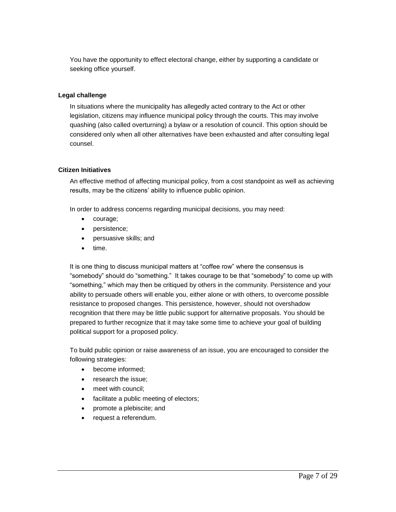You have the opportunity to effect electoral change, either by supporting a candidate or seeking office yourself.

# <span id="page-6-0"></span>**Legal challenge**

In situations where the municipality has allegedly acted contrary to the Act or other legislation, citizens may influence municipal policy through the courts. This may involve quashing (also called overturning) a bylaw or a resolution of council. This option should be considered only when all other alternatives have been exhausted and after consulting legal counsel.

## <span id="page-6-1"></span>**Citizen Initiatives**

An effective method of affecting municipal policy, from a cost standpoint as well as achieving results, may be the citizens' ability to influence public opinion.

In order to address concerns regarding municipal decisions, you may need:

- courage;
- persistence;
- persuasive skills; and
- $\bullet$  time.

It is one thing to discuss municipal matters at "coffee row" where the consensus is "somebody" should do "something." It takes courage to be that "somebody" to come up with "something," which may then be critiqued by others in the community. Persistence and your ability to persuade others will enable you, either alone or with others, to overcome possible resistance to proposed changes. This persistence, however, should not overshadow recognition that there may be little public support for alternative proposals. You should be prepared to further recognize that it may take some time to achieve your goal of building political support for a proposed policy.

To build public opinion or raise awareness of an issue, you are encouraged to consider the following strategies:

- become informed;
- research the issue:
- meet with council:
- facilitate a public meeting of electors;
- promote a plebiscite; and
- request a referendum.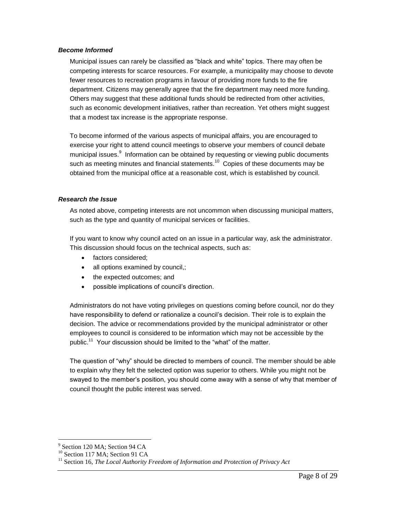#### <span id="page-7-0"></span>*Become Informed*

Municipal issues can rarely be classified as "black and white" topics. There may often be competing interests for scarce resources. For example, a municipality may choose to devote fewer resources to recreation programs in favour of providing more funds to the fire department. Citizens may generally agree that the fire department may need more funding. Others may suggest that these additional funds should be redirected from other activities, such as economic development initiatives, rather than recreation. Yet others might suggest that a modest tax increase is the appropriate response.

To become informed of the various aspects of municipal affairs, you are encouraged to exercise your right to attend council meetings to observe your members of council debate municipal issues.<sup>9</sup> Information can be obtained by requesting or viewing public documents such as meeting minutes and financial statements.<sup>10</sup> Copies of these documents may be obtained from the municipal office at a reasonable cost, which is established by council.

# <span id="page-7-1"></span>*Research the Issue*

As noted above, competing interests are not uncommon when discussing municipal matters, such as the type and quantity of municipal services or facilities.

If you want to know why council acted on an issue in a particular way, ask the administrator. This discussion should focus on the technical aspects, such as:

- factors considered;
- all options examined by council,;
- the expected outcomes; and
- possible implications of council's direction.

Administrators do not have voting privileges on questions coming before council, nor do they have responsibility to defend or rationalize a council's decision. Their role is to explain the decision. The advice or recommendations provided by the municipal administrator or other employees to council is considered to be information which may not be accessible by the public.<sup>11</sup> Your discussion should be limited to the "what" of the matter.

The question of "why" should be directed to members of council. The member should be able to explain why they felt the selected option was superior to others. While you might not be swayed to the member's position, you should come away with a sense of why that member of council thought the public interest was served.

<sup>&</sup>lt;sup>9</sup> Section 120 MA; Section 94 CA

 $^{10}$  Section 117 MA; Section 91 CA

<sup>&</sup>lt;sup>11</sup> Section 16, *The Local Authority Freedom of Information and Protection of Privacy Act*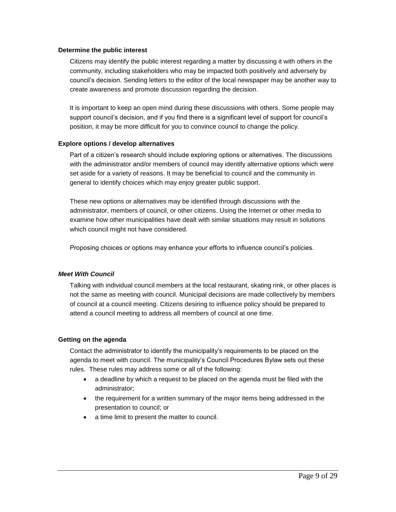#### <span id="page-8-0"></span>**Determine the public interest**

Citizens may identify the public interest regarding a matter by discussing it with others in the community, including stakeholders who may be impacted both positively and adversely by council's decision. Sending letters to the editor of the local newspaper may be another way to create awareness and promote discussion regarding the decision.

It is important to keep an open mind during these discussions with others. Some people may support council's decision, and if you find there is a significant level of support for council's position, it may be more difficult for you to convince council to change the policy.

#### <span id="page-8-1"></span>**Explore options / develop alternatives**

Part of a citizen's research should include exploring options or alternatives. The discussions with the administrator and/or members of council may identify alternative options which were set aside for a variety of reasons. It may be beneficial to council and the community in general to identify choices which may enjoy greater public support.

These new options or alternatives may be identified through discussions with the administrator, members of council, or other citizens. Using the Internet or other media to examine how other municipalities have dealt with similar situations may result in solutions which council might not have considered.

Proposing choices or options may enhance your efforts to influence council's policies.

## <span id="page-8-2"></span>*Meet With Council*

Talking with individual council members at the local restaurant, skating rink, or other places is not the same as meeting with council. Municipal decisions are made collectively by members of council at a council meeting. Citizens desiring to influence policy should be prepared to attend a council meeting to address all members of council at one time.

#### <span id="page-8-3"></span>**Getting on the agenda**

Contact the administrator to identify the municipality's requirements to be placed on the agenda to meet with council. The municipality's Council Procedures Bylaw sets out these rules. These rules may address some or all of the following:

- a deadline by which a request to be placed on the agenda must be filed with the administrator;
- the requirement for a written summary of the major items being addressed in the presentation to council; or
- a time limit to present the matter to council.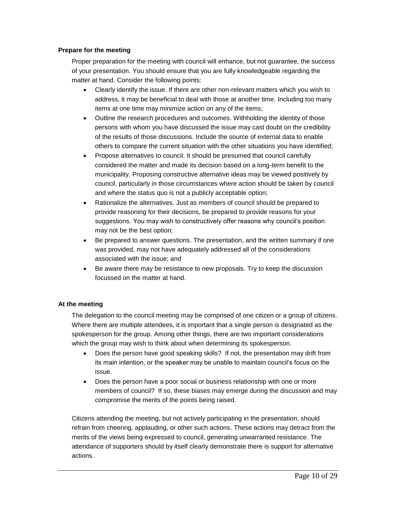# <span id="page-9-0"></span>**Prepare for the meeting**

Proper preparation for the meeting with council will enhance, but not guarantee, the success of your presentation. You should ensure that you are fully knowledgeable regarding the matter at hand. Consider the following points:

- Clearly identify the issue. If there are other non-relevant matters which you wish to address, it may be beneficial to deal with those at another time. Including too many items at one time may minimize action on any of the items;
- Outline the research procedures and outcomes. Withholding the identity of those persons with whom you have discussed the issue may cast doubt on the credibility of the results of those discussions. Include the source of external data to enable others to compare the current situation with the other situations you have identified;
- Propose alternatives to council. It should be presumed that council carefully considered the matter and made its decision based on a long-term benefit to the municipality. Proposing constructive alternative ideas may be viewed positively by council, particularly in those circumstances where action should be taken by council and where the status quo is not a publicly acceptable option;
- Rationalize the alternatives. Just as members of council should be prepared to provide reasoning for their decisions, be prepared to provide reasons for your suggestions. You may wish to constructively offer reasons why council's position may not be the best option;
- Be prepared to answer questions. The presentation, and the written summary if one was provided, may not have adequately addressed all of the considerations associated with the issue; and
- Be aware there may be resistance to new proposals. Try to keep the discussion focussed on the matter at hand.

# <span id="page-9-1"></span>**At the meeting**

The delegation to the council meeting may be comprised of one citizen or a group of citizens. Where there are multiple attendees, it is important that a single person is designated as the spokesperson for the group. Among other things, there are two important considerations which the group may wish to think about when determining its spokesperson.

- Does the person have good speaking skills? If not, the presentation may drift from its main intention, or the speaker may be unable to maintain council's focus on the issue.
- Does the person have a poor social or business relationship with one or more members of council? If so, these biases may emerge during the discussion and may compromise the merits of the points being raised.

Citizens attending the meeting, but not actively participating in the presentation, should refrain from cheering, applauding, or other such actions. These actions may detract from the merits of the views being expressed to council, generating unwarranted resistance. The attendance of supporters should by itself clearly demonstrate there is support for alternative actions.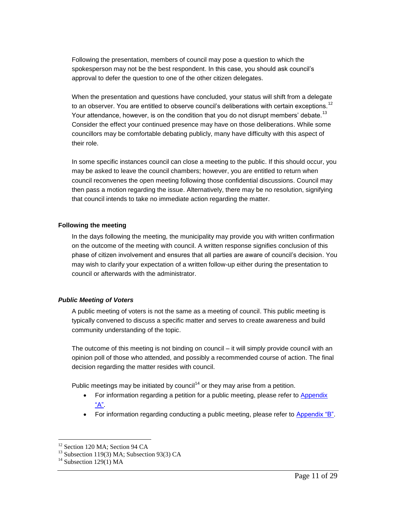Following the presentation, members of council may pose a question to which the spokesperson may not be the best respondent. In this case, you should ask council's approval to defer the question to one of the other citizen delegates.

When the presentation and questions have concluded, your status will shift from a delegate to an observer. You are entitled to observe council's deliberations with certain exceptions.<sup>12</sup> Your attendance, however, is on the condition that you do not disrupt members' debate.<sup>13</sup> Consider the effect your continued presence may have on those deliberations. While some councillors may be comfortable debating publicly, many have difficulty with this aspect of their role.

In some specific instances council can close a meeting to the public. If this should occur, you may be asked to leave the council chambers; however, you are entitled to return when council reconvenes the open meeting following those confidential discussions. Council may then pass a motion regarding the issue. Alternatively, there may be no resolution, signifying that council intends to take no immediate action regarding the matter.

#### <span id="page-10-0"></span>**Following the meeting**

In the days following the meeting, the municipality may provide you with written confirmation on the outcome of the meeting with council. A written response signifies conclusion of this phase of citizen involvement and ensures that all parties are aware of council's decision. You may wish to clarify your expectation of a written follow-up either during the presentation to council or afterwards with the administrator.

## <span id="page-10-1"></span>*Public Meeting of Voters*

A public meeting of voters is not the same as a meeting of council. This public meeting is typically convened to discuss a specific matter and serves to create awareness and build community understanding of the topic.

The outcome of this meeting is not binding on council – it will simply provide council with an opinion poll of those who attended, and possibly a recommended course of action. The final decision regarding the matter resides with council.

Public meetings may be initiated by council<sup>14</sup> or they may arise from a petition.

- For information regarding a petition for a public meeting, please refer to [Appendix](#page-19-0)  ["A".](#page-19-0)
- For information regarding conducting a public meeting, please refer to [Appendix "B".](#page-20-1)

 $\overline{a}$ <sup>12</sup> Section 120 MA; Section 94 CA

<sup>&</sup>lt;sup>13</sup> Subsection 119(3) MA; Subsection 93(3) CA

 $14$  Subsection 129(1) MA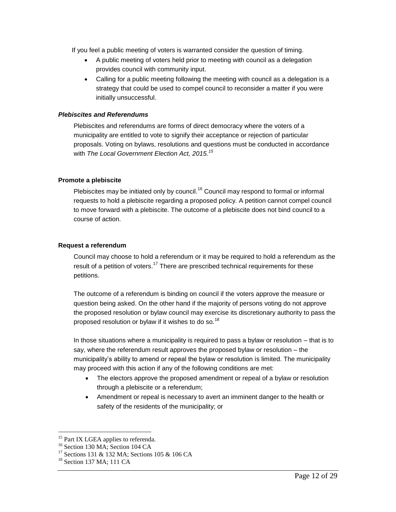If you feel a public meeting of voters is warranted consider the question of timing.

- A public meeting of voters held prior to meeting with council as a delegation provides council with community input.
- Calling for a public meeting following the meeting with council as a delegation is a strategy that could be used to compel council to reconsider a matter if you were initially unsuccessful.

## <span id="page-11-0"></span>*Plebiscites and Referendums*

Plebiscites and referendums are forms of direct democracy where the voters of a municipality are entitled to vote to signify their acceptance or rejection of particular proposals. Voting on bylaws, resolutions and questions must be conducted in accordance with *The Local Government Election Act, 2015. 15*

## <span id="page-11-1"></span>**Promote a plebiscite**

Plebiscites may be initiated only by council.<sup>16</sup> Council may respond to formal or informal requests to hold a plebiscite regarding a proposed policy. A petition cannot compel council to move forward with a plebiscite. The outcome of a plebiscite does not bind council to a course of action.

## <span id="page-11-2"></span>**Request a referendum**

Council may choose to hold a referendum or it may be required to hold a referendum as the result of a petition of voters.<sup>17</sup> There are prescribed technical requirements for these petitions.

The outcome of a referendum is binding on council if the voters approve the measure or question being asked. On the other hand if the majority of persons voting do not approve the proposed resolution or bylaw council may exercise its discretionary authority to pass the proposed resolution or bylaw if it wishes to do so.<sup>18</sup>

In those situations where a municipality is required to pass a bylaw or resolution – that is to say, where the referendum result approves the proposed bylaw or resolution – the municipality's ability to amend or repeal the bylaw or resolution is limited. The municipality may proceed with this action if any of the following conditions are met:

- The electors approve the proposed amendment or repeal of a bylaw or resolution through a plebiscite or a referendum;
- Amendment or repeal is necessary to avert an imminent danger to the health or safety of the residents of the municipality; or

<sup>&</sup>lt;sup>15</sup> Part IX LGEA applies to referenda.

<sup>&</sup>lt;sup>16</sup> Section 130 MA; Section 104 CA

<sup>&</sup>lt;sup>17</sup> Sections 131 & 132 MA; Sections 105 & 106 CA

 $18$  Section 137 MA; 111 CA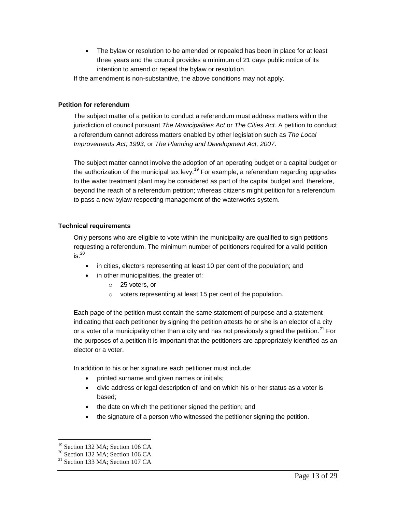The bylaw or resolution to be amended or repealed has been in place for at least three years and the council provides a minimum of 21 days public notice of its intention to amend or repeal the bylaw or resolution.

If the amendment is non-substantive, the above conditions may not apply.

# <span id="page-12-0"></span>**Petition for referendum**

The subject matter of a petition to conduct a referendum must address matters within the jurisdiction of council pursuant *The Municipalities Act* or *The Cities Act*. A petition to conduct a referendum cannot address matters enabled by other legislation such as *The Local Improvements Act, 1993,* or *The Planning and Development Act, 2007*.

The subject matter cannot involve the adoption of an operating budget or a capital budget or the authorization of the municipal tax levy.<sup>19</sup> For example, a referendum regarding upgrades to the water treatment plant may be considered as part of the capital budget and, therefore, beyond the reach of a referendum petition; whereas citizens might petition for a referendum to pass a new bylaw respecting management of the waterworks system.

# <span id="page-12-1"></span>**Technical requirements**

Only persons who are eligible to vote within the municipality are qualified to sign petitions requesting a referendum. The minimum number of petitioners required for a valid petition  $is:$ <sup>20</sup>

- in cities, electors representing at least 10 per cent of the population; and
	- in other municipalities, the greater of:
		- o 25 voters, or
		- o voters representing at least 15 per cent of the population.

Each page of the petition must contain the same statement of purpose and a statement indicating that each petitioner by signing the petition attests he or she is an elector of a city or a voter of a municipality other than a city and has not previously signed the petition.<sup>21</sup> For the purposes of a petition it is important that the petitioners are appropriately identified as an elector or a voter.

In addition to his or her signature each petitioner must include:

- printed surname and given names or initials;
- civic address or legal description of land on which his or her status as a voter is based;
- the date on which the petitioner signed the petition; and
- the signature of a person who witnessed the petitioner signing the petition.

<sup>&</sup>lt;sup>19</sup> Section 132 MA; Section 106 CA

 $20$  Section 132 MA; Section 106 CA

 $^{21}$  Section 133 MA; Section 107 CA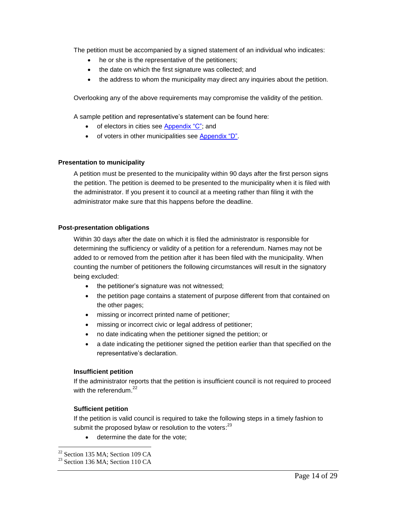The petition must be accompanied by a signed statement of an individual who indicates:

- he or she is the representative of the petitioners;
- the date on which the first signature was collected; and
- the address to whom the municipality may direct any inquiries about the petition.

Overlooking any of the above requirements may compromise the validity of the petition.

A sample petition and representative's statement can be found here:

- of electors in cities see [Appendix "C";](#page-22-0) and
- of voters in other municipalities see [Appendix "D".](#page-24-0)

#### <span id="page-13-0"></span>**Presentation to municipality**

A petition must be presented to the municipality within 90 days after the first person signs the petition. The petition is deemed to be presented to the municipality when it is filed with the administrator. If you present it to council at a meeting rather than filing it with the administrator make sure that this happens before the deadline.

#### <span id="page-13-1"></span>**Post-presentation obligations**

Within 30 days after the date on which it is filed the administrator is responsible for determining the sufficiency or validity of a petition for a referendum. Names may not be added to or removed from the petition after it has been filed with the municipality. When counting the number of petitioners the following circumstances will result in the signatory being excluded:

- the petitioner's signature was not witnessed;
- the petition page contains a statement of purpose different from that contained on the other pages;
- $\bullet$  missing or incorrect printed name of petitioner;
- missing or incorrect civic or legal address of petitioner;
- no date indicating when the petitioner signed the petition; or
- a date indicating the petitioner signed the petition earlier than that specified on the representative's declaration.

## **Insufficient petition**

If the administrator reports that the petition is insufficient council is not required to proceed with the referendum.<sup>22</sup>

## **Sufficient petition**

If the petition is valid council is required to take the following steps in a timely fashion to submit the proposed bylaw or resolution to the voters:<sup>23</sup>

determine the date for the vote;

 $22$  Section 135 MA; Section 109 CA

 $23$  Section 136 MA; Section 110 CA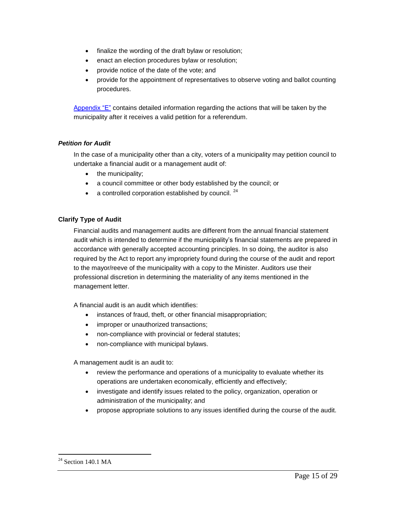- finalize the wording of the draft bylaw or resolution;
- **e** enact an election procedures bylaw or resolution;
- provide notice of the date of the vote; and
- provide for the appointment of representatives to observe voting and ballot counting procedures.

[Appendix "E"](#page-26-0) contains detailed information regarding the actions that will be taken by the municipality after it receives a valid petition for a referendum.

# <span id="page-14-0"></span>*Petition for Audit*

In the case of a municipality other than a city, voters of a municipality may petition council to undertake a financial audit or a management audit of:

- the municipality;
- a council committee or other body established by the council; or
- a controlled corporation established by council.  $24$

# <span id="page-14-1"></span>**Clarify Type of Audit**

Financial audits and management audits are different from the annual financial statement audit which is intended to determine if the municipality's financial statements are prepared in accordance with generally accepted accounting principles. In so doing, the auditor is also required by the Act to report any impropriety found during the course of the audit and report to the mayor/reeve of the municipality with a copy to the Minister. Auditors use their professional discretion in determining the materiality of any items mentioned in the management letter.

A financial audit is an audit which identifies:

- instances of fraud, theft, or other financial misappropriation;
- improper or unauthorized transactions;
- non-compliance with provincial or federal statutes;
- non-compliance with municipal bylaws.

A management audit is an audit to:

- review the performance and operations of a municipality to evaluate whether its operations are undertaken economically, efficiently and effectively;
- investigate and identify issues related to the policy, organization, operation or administration of the municipality; and
- propose appropriate solutions to any issues identified during the course of the audit.

 $24$  Section 140.1 MA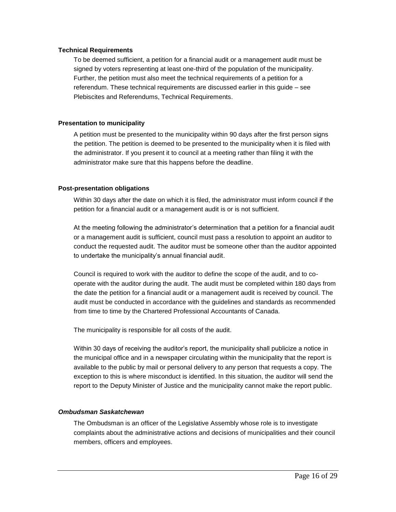## <span id="page-15-0"></span>**Technical Requirements**

To be deemed sufficient, a petition for a financial audit or a management audit must be signed by voters representing at least one-third of the population of the municipality. Further, the petition must also meet the technical requirements of a petition for a referendum. These technical requirements are discussed earlier in this guide – see Plebiscites and Referendums, Technical Requirements.

# <span id="page-15-1"></span>**Presentation to municipality**

A petition must be presented to the municipality within 90 days after the first person signs the petition. The petition is deemed to be presented to the municipality when it is filed with the administrator. If you present it to council at a meeting rather than filing it with the administrator make sure that this happens before the deadline.

# <span id="page-15-2"></span>**Post-presentation obligations**

Within 30 days after the date on which it is filed, the administrator must inform council if the petition for a financial audit or a management audit is or is not sufficient.

At the meeting following the administrator's determination that a petition for a financial audit or a management audit is sufficient, council must pass a resolution to appoint an auditor to conduct the requested audit. The auditor must be someone other than the auditor appointed to undertake the municipality's annual financial audit.

Council is required to work with the auditor to define the scope of the audit, and to cooperate with the auditor during the audit. The audit must be completed within 180 days from the date the petition for a financial audit or a management audit is received by council. The audit must be conducted in accordance with the guidelines and standards as recommended from time to time by the Chartered Professional Accountants of Canada.

The municipality is responsible for all costs of the audit.

Within 30 days of receiving the auditor's report, the municipality shall publicize a notice in the municipal office and in a newspaper circulating within the municipality that the report is available to the public by mail or personal delivery to any person that requests a copy. The exception to this is where misconduct is identified. In this situation, the auditor will send the report to the Deputy Minister of Justice and the municipality cannot make the report public.

# <span id="page-15-3"></span>*Ombudsman Saskatchewan*

The Ombudsman is an officer of the Legislative Assembly whose role is to investigate complaints about the administrative actions and decisions of municipalities and their council members, officers and employees.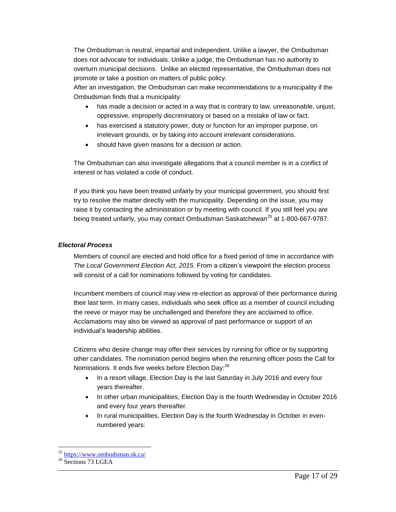The Ombudsman is neutral, impartial and independent. Unlike a lawyer, the Ombudsman does not advocate for individuals. Unlike a judge, the Ombudsman has no authority to overturn municipal decisions. Unlike an elected representative, the Ombudsman does not promote or take a position on matters of public policy.

After an investigation, the Ombudsman can make recommendations to a municipality if the Ombudsman finds that a municipality:

- has made a decision or acted in a way that is contrary to law, unreasonable, unjust, oppressive, improperly discriminatory or based on a mistake of law or fact.
- has exercised a statutory power, duty or function for an improper purpose, on irrelevant grounds, or by taking into account irrelevant considerations.
- should have given reasons for a decision or action.

The Ombudsman can also investigate allegations that a council member is in a conflict of interest or has violated a code of conduct.

If you think you have been treated unfairly by your municipal government, you should first try to resolve the matter directly with the municipality. Depending on the issue, you may raise it by contacting the administration or by meeting with council. If you still feel you are being treated unfairly, you may contact Ombudsman Saskatchewan<sup>25</sup> at 1-800-667-9787.

# <span id="page-16-0"></span>*Electoral Process*

Members of council are elected and hold office for a fixed period of time in accordance with *The Local Government Election Act, 2015.* From a citizen's viewpoint the election process will consist of a call for nominations followed by voting for candidates.

Incumbent members of council may view re-election as approval of their performance during their last term. In many cases, individuals who seek office as a member of council including the reeve or mayor may be unchallenged and therefore they are acclaimed to office. Acclamations may also be viewed as approval of past performance or support of an individual's leadership abilities.

Citizens who desire change may offer their services by running for office or by supporting other candidates. The nomination period begins when the returning officer posts the Call for Nominations. It ends five weeks before Election Day:<sup>26</sup>

- In a resort village, Election Day is the last Saturday in July 2016 and every four years thereafter.
- In other urban municipalities, Election Day is the fourth Wednesday in October 2016 and every four years thereafter.
- In rural municipalities, Election Day is the fourth Wednesday in October in evennumbered years:

 $\overline{a}$ <sup>25</sup> <https://www.ombudsman.sk.ca/>

 $26$  Sections 73 LGEA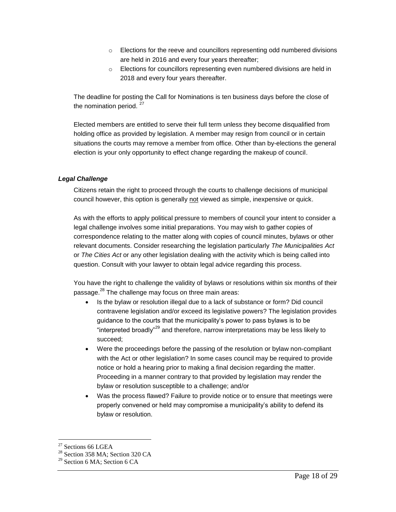- o Elections for the reeve and councillors representing odd numbered divisions are held in 2016 and every four years thereafter;
- o Elections for councillors representing even numbered divisions are held in 2018 and every four years thereafter.

The deadline for posting the Call for Nominations is ten business days before the close of the nomination period.  $27$ 

Elected members are entitled to serve their full term unless they become disqualified from holding office as provided by legislation. A member may resign from council or in certain situations the courts may remove a member from office. Other than by-elections the general election is your only opportunity to effect change regarding the makeup of council.

# <span id="page-17-0"></span>*Legal Challenge*

Citizens retain the right to proceed through the courts to challenge decisions of municipal council however, this option is generally not viewed as simple, inexpensive or quick.

As with the efforts to apply political pressure to members of council your intent to consider a legal challenge involves some initial preparations. You may wish to gather copies of correspondence relating to the matter along with copies of council minutes, bylaws or other relevant documents. Consider researching the legislation particularly *The Municipalities Act* or *The Cities Act* or any other legislation dealing with the activity which is being called into question. Consult with your lawyer to obtain legal advice regarding this process.

You have the right to challenge the validity of bylaws or resolutions within six months of their passage.<sup>28</sup> The challenge may focus on three main areas:

- Is the bylaw or resolution illegal due to a lack of substance or form? Did council contravene legislation and/or exceed its legislative powers? The legislation provides guidance to the courts that the municipality's power to pass bylaws is to be "interpreted broadly"<sup>29</sup> and therefore, narrow interpretations may be less likely to succeed;
- Were the proceedings before the passing of the resolution or bylaw non-compliant with the Act or other legislation? In some cases council may be required to provide notice or hold a hearing prior to making a final decision regarding the matter. Proceeding in a manner contrary to that provided by legislation may render the bylaw or resolution susceptible to a challenge; and/or
- Was the process flawed? Failure to provide notice or to ensure that meetings were properly convened or held may compromise a municipality's ability to defend its bylaw or resolution.

 $27$  Sections 66 LGEA

<sup>&</sup>lt;sup>28</sup> Section 358 MA; Section 320 CA

<sup>&</sup>lt;sup>29</sup> Section 6 MA; Section 6 CA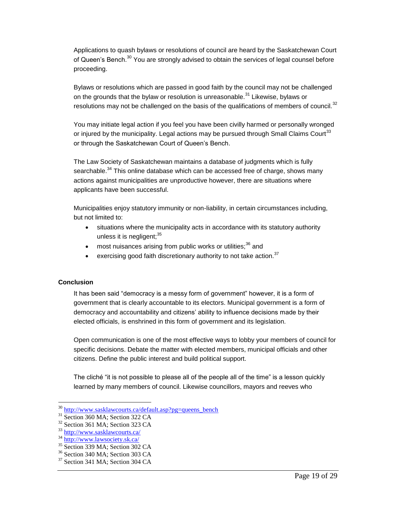Applications to quash bylaws or resolutions of council are heard by the Saskatchewan Court of Queen's Bench.<sup>30</sup> You are strongly advised to obtain the services of legal counsel before proceeding.

Bylaws or resolutions which are passed in good faith by the council may not be challenged on the grounds that the bylaw or resolution is unreasonable.<sup>31</sup> Likewise, bylaws or resolutions may not be challenged on the basis of the qualifications of members of council.<sup>32</sup>

You may initiate legal action if you feel you have been civilly harmed or personally wronged or injured by the municipality. Legal actions may be pursued through Small Claims Court<sup>33</sup> or through the Saskatchewan Court of Queen's Bench.

The Law Society of Saskatchewan maintains a database of judgments which is fully searchable.<sup>34</sup> This online database which can be accessed free of charge, shows many actions against municipalities are unproductive however, there are situations where applicants have been successful.

Municipalities enjoy statutory immunity or non-liability, in certain circumstances including, but not limited to:

- situations where the municipality acts in accordance with its statutory authority unless it is negligent; $35$
- $\bullet$  most nuisances arising from public works or utilities;  $36$  and
- exercising good faith discretionary authority to not take action.<sup>37</sup>

# <span id="page-18-0"></span>**Conclusion**

 $\overline{a}$ 

It has been said "democracy is a messy form of government" however, it is a form of government that is clearly accountable to its electors. Municipal government is a form of democracy and accountability and citizens' ability to influence decisions made by their elected officials, is enshrined in this form of government and its legislation.

Open communication is one of the most effective ways to lobby your members of council for specific decisions. Debate the matter with elected members, municipal officials and other citizens. Define the public interest and build political support.

The cliché "it is not possible to please all of the people all of the time" is a lesson quickly learned by many members of council. Likewise councillors, mayors and reeves who

<sup>30</sup> [http://www.sasklawcourts.ca/default.asp?pg=queens\\_bench](http://www.sasklawcourts.ca/default.asp?pg=queens_bench)

<sup>&</sup>lt;sup>31</sup> Section 360 MA; Section 322 CA

<sup>32</sup> Section 361 MA; Section 323 CA

<sup>33</sup> <http://www.sasklawcourts.ca/>

<sup>34</sup> <http://www.lawsociety.sk.ca/>

<sup>35</sup> Section 339 MA; Section 302 CA

<sup>36</sup> Section 340 MA; Section 303 CA

 $37$  Section 341 MA; Section 304 CA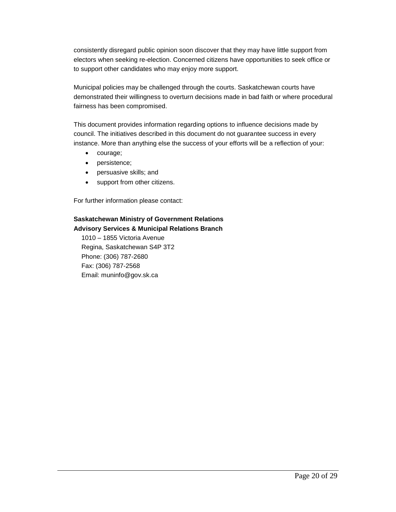consistently disregard public opinion soon discover that they may have little support from electors when seeking re-election. Concerned citizens have opportunities to seek office or to support other candidates who may enjoy more support.

Municipal policies may be challenged through the courts. Saskatchewan courts have demonstrated their willingness to overturn decisions made in bad faith or where procedural fairness has been compromised.

This document provides information regarding options to influence decisions made by council. The initiatives described in this document do not guarantee success in every instance. More than anything else the success of your efforts will be a reflection of your:

- courage;
- persistence;
- persuasive skills; and
- support from other citizens.

For further information please contact:

# **Saskatchewan Ministry of Government Relations Advisory Services & Municipal Relations Branch**

<span id="page-19-0"></span>1010 – 1855 Victoria Avenue Regina, Saskatchewan S4P 3T2 Phone: (306) 787-2680 Fax: (306) 787-2568 Email: muninfo@gov.sk.ca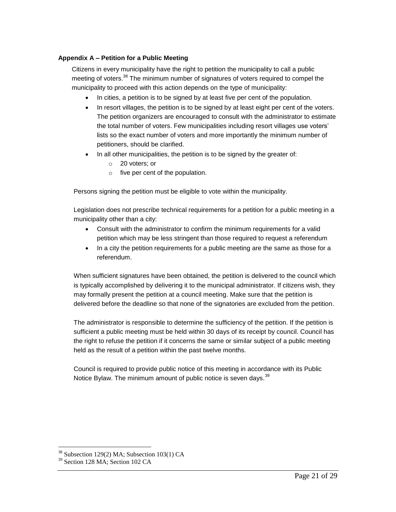# <span id="page-20-0"></span>**Appendix A – Petition for a Public Meeting**

Citizens in every municipality have the right to petition the municipality to call a public meeting of voters.<sup>38</sup> The minimum number of signatures of voters required to compel the municipality to proceed with this action depends on the type of municipality:

- In cities, a petition is to be signed by at least five per cent of the population.
- In resort villages, the petition is to be signed by at least eight per cent of the voters. The petition organizers are encouraged to consult with the administrator to estimate the total number of voters. Few municipalities including resort villages use voters' lists so the exact number of voters and more importantly the minimum number of petitioners, should be clarified.
- In all other municipalities, the petition is to be signed by the greater of:
	- o 20 voters; or
	- $\circ$  five per cent of the population.

Persons signing the petition must be eligible to vote within the municipality.

Legislation does not prescribe technical requirements for a petition for a public meeting in a municipality other than a city:

- Consult with the administrator to confirm the minimum requirements for a valid petition which may be less stringent than those required to request a referendum
- In a city the petition requirements for a public meeting are the same as those for a referendum.

When sufficient signatures have been obtained, the petition is delivered to the council which is typically accomplished by delivering it to the municipal administrator. If citizens wish, they may formally present the petition at a council meeting. Make sure that the petition is delivered before the deadline so that none of the signatories are excluded from the petition.

The administrator is responsible to determine the sufficiency of the petition. If the petition is sufficient a public meeting must be held within 30 days of its receipt by council. Council has the right to refuse the petition if it concerns the same or similar subject of a public meeting held as the result of a petition within the past twelve months.

<span id="page-20-1"></span>Council is required to provide public notice of this meeting in accordance with its Public Notice Bylaw. The minimum amount of public notice is seven days.<sup>39</sup>

<sup>38</sup> Subsection 129(2) MA; Subsection 103(1) CA

 $39$  Section 128 MA; Section 102 CA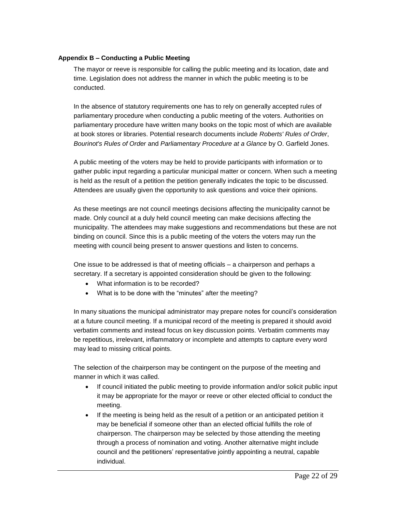# <span id="page-21-0"></span>**Appendix B – Conducting a Public Meeting**

The mayor or reeve is responsible for calling the public meeting and its location, date and time. Legislation does not address the manner in which the public meeting is to be conducted.

In the absence of statutory requirements one has to rely on generally accepted rules of parliamentary procedure when conducting a public meeting of the voters. Authorities on parliamentary procedure have written many books on the topic most of which are available at book stores or libraries. Potential research documents include *Roberts' Rules of Order*, *Bourinot's Rules of Order* and *Parliamentary Procedure at a Glance* by O. Garfield Jones.

A public meeting of the voters may be held to provide participants with information or to gather public input regarding a particular municipal matter or concern. When such a meeting is held as the result of a petition the petition generally indicates the topic to be discussed. Attendees are usually given the opportunity to ask questions and voice their opinions.

As these meetings are not council meetings decisions affecting the municipality cannot be made. Only council at a duly held council meeting can make decisions affecting the municipality. The attendees may make suggestions and recommendations but these are not binding on council. Since this is a public meeting of the voters the voters may run the meeting with council being present to answer questions and listen to concerns.

One issue to be addressed is that of meeting officials – a chairperson and perhaps a secretary. If a secretary is appointed consideration should be given to the following:

- What information is to be recorded?
- What is to be done with the "minutes" after the meeting?

In many situations the municipal administrator may prepare notes for council's consideration at a future council meeting. If a municipal record of the meeting is prepared it should avoid verbatim comments and instead focus on key discussion points. Verbatim comments may be repetitious, irrelevant, inflammatory or incomplete and attempts to capture every word may lead to missing critical points.

The selection of the chairperson may be contingent on the purpose of the meeting and manner in which it was called.

- If council initiated the public meeting to provide information and/or solicit public input it may be appropriate for the mayor or reeve or other elected official to conduct the meeting.
- If the meeting is being held as the result of a petition or an anticipated petition it may be beneficial if someone other than an elected official fulfills the role of chairperson. The chairperson may be selected by those attending the meeting through a process of nomination and voting. Another alternative might include council and the petitioners' representative jointly appointing a neutral, capable individual.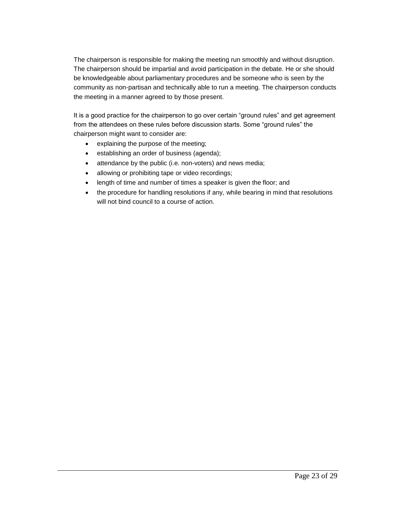The chairperson is responsible for making the meeting run smoothly and without disruption. The chairperson should be impartial and avoid participation in the debate. He or she should be knowledgeable about parliamentary procedures and be someone who is seen by the community as non-partisan and technically able to run a meeting. The chairperson conducts the meeting in a manner agreed to by those present.

It is a good practice for the chairperson to go over certain "ground rules" and get agreement from the attendees on these rules before discussion starts. Some "ground rules" the chairperson might want to consider are:

- explaining the purpose of the meeting;
- establishing an order of business (agenda);
- attendance by the public (i.e. non-voters) and news media;
- allowing or prohibiting tape or video recordings;
- length of time and number of times a speaker is given the floor; and
- <span id="page-22-0"></span>• the procedure for handling resolutions if any, while bearing in mind that resolutions will not bind council to a course of action.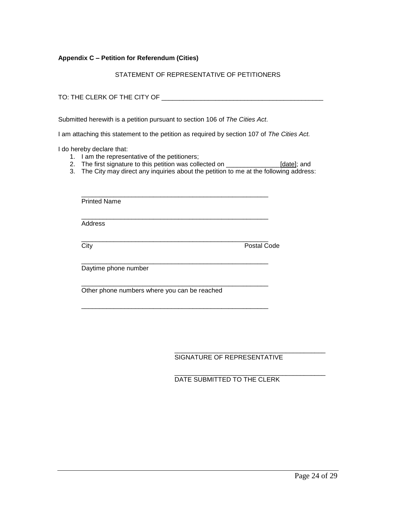#### <span id="page-23-0"></span>**Appendix C – Petition for Referendum (Cities)**

STATEMENT OF REPRESENTATIVE OF PETITIONERS

TO: THE CLERK OF THE CITY OF ZERILL TO A THE CLERK OF THE CITY OF

Submitted herewith is a petition pursuant to section 106 of *The Cities Act*.

I am attaching this statement to the petition as required by section 107 of *The Cities Act.*

I do hereby declare that:

- 1. I am the representative of the petitioners;
- 2. The first signature to this petition was collected on \_\_\_\_\_\_\_\_\_\_\_\_\_\_\_\_[date]; and
- 3. The City may direct any inquiries about the petition to me at the following address:

| <b>Printed Name</b>                          |             |
|----------------------------------------------|-------------|
| Address                                      |             |
| City                                         | Postal Code |
| Daytime phone number                         |             |
| Other phone numbers where you can be reached |             |

\_\_\_\_\_\_\_\_\_\_\_\_\_\_\_\_\_\_\_\_\_\_\_\_\_\_\_\_\_\_\_\_\_\_\_\_\_\_\_\_\_\_\_\_\_\_\_\_\_\_\_\_

SIGNATURE OF REPRESENTATIVE

\_\_\_\_\_\_\_\_\_\_\_\_\_\_\_\_\_\_\_\_\_\_\_\_\_\_\_\_\_\_\_\_\_\_\_\_\_\_\_\_\_\_

\_\_\_\_\_\_\_\_\_\_\_\_\_\_\_\_\_\_\_\_\_\_\_\_\_\_\_\_\_\_\_\_\_\_\_\_\_\_\_\_\_\_

DATE SUBMITTED TO THE CLERK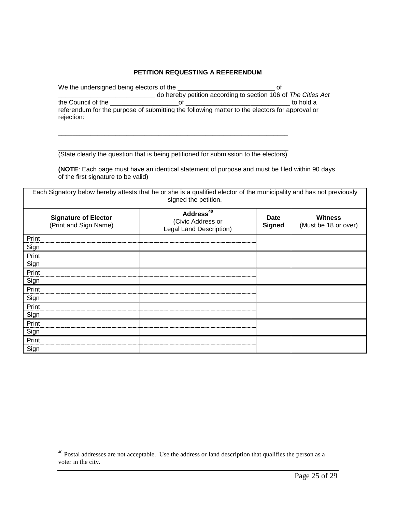## **PETITION REQUESTING A REFERENDUM**

| We the undersigned being electors of the | റ്റ                                                                                           |
|------------------------------------------|-----------------------------------------------------------------------------------------------|
|                                          | do hereby petition according to section 106 of The Cities Act                                 |
| the Council of the                       | to hold a                                                                                     |
|                                          | referendum for the purpose of submitting the following matter to the electors for approval or |
| rejection:                               |                                                                                               |

\_\_\_\_\_\_\_\_\_\_\_\_\_\_\_\_\_\_\_\_\_\_\_\_\_\_\_\_\_\_\_\_\_\_\_\_\_\_\_\_\_\_\_\_\_\_\_\_\_\_\_\_\_\_\_\_\_\_\_\_\_\_\_\_ (State clearly the question that is being petitioned for submission to the electors)

\_\_\_\_\_\_\_\_\_\_\_\_\_\_\_\_\_\_\_\_\_\_\_\_\_\_\_\_\_\_\_\_\_\_\_\_\_\_\_\_\_\_\_\_\_\_\_\_\_\_\_\_\_\_\_\_\_\_\_\_\_\_\_\_

**(NOTE**: Each page must have an identical statement of purpose and must be filed within 90 days of the first signature to be valid)

Each Signatory below hereby attests that he or she is a qualified elector of the municipality and has not previously signed the petition. **Signature of Elector** (Print and Sign Name) **Address<sup>40</sup>** (Civic Address or Legal Land Description) **Date Signed Witness** (Must be 18 or over) Print Sign Print Sign Print **Sign** Print Sign Print Sign Print Sign Print Sign

<span id="page-24-0"></span> $40$  Postal addresses are not acceptable. Use the address or land description that qualifies the person as a voter in the city.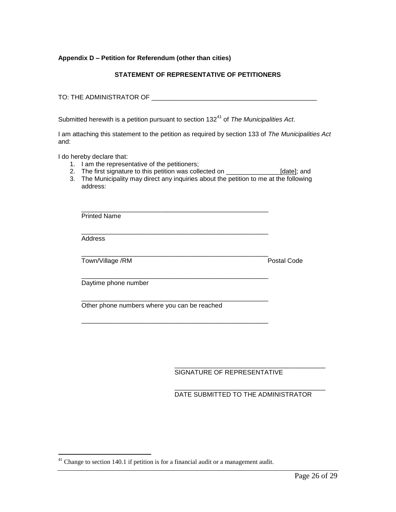#### <span id="page-25-0"></span>**Appendix D – Petition for Referendum (other than cities)**

# **STATEMENT OF REPRESENTATIVE OF PETITIONERS**

TO: THE ADMINISTRATOR OF **EXECUTE ASSESSED ASSESSED.** 

Submitted herewith is a petition pursuant to section 132<sup>41</sup> of *The Municipalities Act.* 

I am attaching this statement to the petition as required by section 133 of *The Municipalities Act*  and:

I do hereby declare that:

 $\overline{a}$ 

- 1. I am the representative of the petitioners;
- 2. The first signature to this petition was collected on \_\_\_\_\_\_\_\_\_\_\_\_\_\_\_\_\_\_\_\_\_[date]; and
- 3. The Municipality may direct any inquiries about the petition to me at the following address:

| <b>Printed Name</b>                          |             |
|----------------------------------------------|-------------|
| <b>Address</b>                               |             |
| Town/Village /RM                             | Postal Code |
| Daytime phone number                         |             |
| Other phone numbers where you can be reached |             |

\_\_\_\_\_\_\_\_\_\_\_\_\_\_\_\_\_\_\_\_\_\_\_\_\_\_\_\_\_\_\_\_\_\_\_\_\_\_\_\_\_\_ SIGNATURE OF REPRESENTATIVE

\_\_\_\_\_\_\_\_\_\_\_\_\_\_\_\_\_\_\_\_\_\_\_\_\_\_\_\_\_\_\_\_\_\_\_\_\_\_\_\_\_\_ DATE SUBMITTED TO THE ADMINISTRATOR

 $41$  Change to section 140.1 if petition is for a financial audit or a management audit.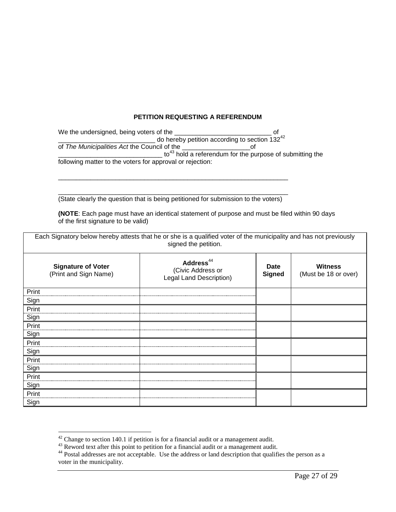# **PETITION REQUESTING A REFERENDUM**

| We the undersigned, being voters of the                   |                                                                      |
|-----------------------------------------------------------|----------------------------------------------------------------------|
|                                                           | do hereby petition according to section $132^{42}$                   |
| of The Municipalities Act the Council of the              |                                                                      |
|                                                           | to <sup>43</sup> hold a referendum for the purpose of submitting the |
| following matter to the voters for approval or rejection: |                                                                      |

\_\_\_\_\_\_\_\_\_\_\_\_\_\_\_\_\_\_\_\_\_\_\_\_\_\_\_\_\_\_\_\_\_\_\_\_\_\_\_\_\_\_\_\_\_\_\_\_\_\_\_\_\_\_\_\_\_\_\_\_\_\_\_\_ (State clearly the question that is being petitioned for submission to the voters)

\_\_\_\_\_\_\_\_\_\_\_\_\_\_\_\_\_\_\_\_\_\_\_\_\_\_\_\_\_\_\_\_\_\_\_\_\_\_\_\_\_\_\_\_\_\_\_\_\_\_\_\_\_\_\_\_\_\_\_\_\_\_\_\_

**(NOTE**: Each page must have an identical statement of purpose and must be filed within 90 days of the first signature to be valid)

| Each Signatory below hereby attests that he or she is a qualified voter of the municipality and has not previously<br>signed the petition. |                                                                       |                              |                                        |  |
|--------------------------------------------------------------------------------------------------------------------------------------------|-----------------------------------------------------------------------|------------------------------|----------------------------------------|--|
| <b>Signature of Voter</b><br>(Print and Sign Name)                                                                                         | Address <sup>44</sup><br>(Civic Address or<br>Legal Land Description) | <b>Date</b><br><b>Signed</b> | <b>Witness</b><br>(Must be 18 or over) |  |
| Print                                                                                                                                      |                                                                       |                              |                                        |  |
| Sign                                                                                                                                       |                                                                       |                              |                                        |  |
| Print                                                                                                                                      |                                                                       |                              |                                        |  |
| Sign                                                                                                                                       |                                                                       |                              |                                        |  |
| Print                                                                                                                                      |                                                                       |                              |                                        |  |
| Sign                                                                                                                                       |                                                                       |                              |                                        |  |
| Print                                                                                                                                      |                                                                       |                              |                                        |  |
| Sign                                                                                                                                       |                                                                       |                              |                                        |  |
| Print                                                                                                                                      |                                                                       |                              |                                        |  |
| Sign                                                                                                                                       |                                                                       |                              |                                        |  |
| Print                                                                                                                                      |                                                                       |                              |                                        |  |
| Sign                                                                                                                                       |                                                                       |                              |                                        |  |
| Print                                                                                                                                      |                                                                       |                              |                                        |  |
| Sign                                                                                                                                       |                                                                       |                              |                                        |  |

<span id="page-26-0"></span> $42$  Change to section 140.1 if petition is for a financial audit or a management audit.

 $43$  Reword text after this point to petition for a financial audit or a management audit.

<sup>&</sup>lt;sup>44</sup> Postal addresses are not acceptable. Use the address or land description that qualifies the person as a voter in the municipality.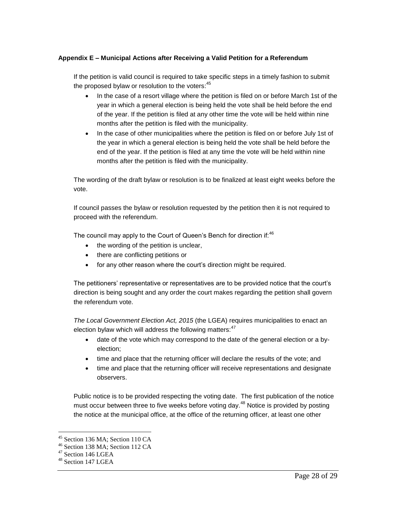# <span id="page-27-0"></span>**Appendix E – Municipal Actions after Receiving a Valid Petition for a Referendum**

If the petition is valid council is required to take specific steps in a timely fashion to submit the proposed bylaw or resolution to the voters: $^{45}$ 

- In the case of a resort village where the petition is filed on or before March 1st of the year in which a general election is being held the vote shall be held before the end of the year. If the petition is filed at any other time the vote will be held within nine months after the petition is filed with the municipality.
- In the case of other municipalities where the petition is filed on or before July 1st of the year in which a general election is being held the vote shall be held before the end of the year. If the petition is filed at any time the vote will be held within nine months after the petition is filed with the municipality.

The wording of the draft bylaw or resolution is to be finalized at least eight weeks before the vote.

If council passes the bylaw or resolution requested by the petition then it is not required to proceed with the referendum.

The council may apply to the Court of Queen's Bench for direction if:  $46$ 

- the wording of the petition is unclear,
- there are conflicting petitions or
- for any other reason where the court's direction might be required.

The petitioners' representative or representatives are to be provided notice that the court's direction is being sought and any order the court makes regarding the petition shall govern the referendum vote.

*The Local Government Election Act, 2015* (the LGEA) requires municipalities to enact an election bylaw which will address the following matters: $47$ 

- date of the vote which may correspond to the date of the general election or a byelection;
- time and place that the returning officer will declare the results of the vote; and
- time and place that the returning officer will receive representations and designate observers.

Public notice is to be provided respecting the voting date. The first publication of the notice must occur between three to five weeks before voting day.<sup>48</sup> Notice is provided by posting the notice at the municipal office, at the office of the returning officer, at least one other

<sup>45</sup> Section 136 MA; Section 110 CA

<sup>46</sup> Section 138 MA; Section 112 CA

<sup>47</sup> Section 146 LGEA

<sup>&</sup>lt;sup>48</sup> Section 147 LGEA